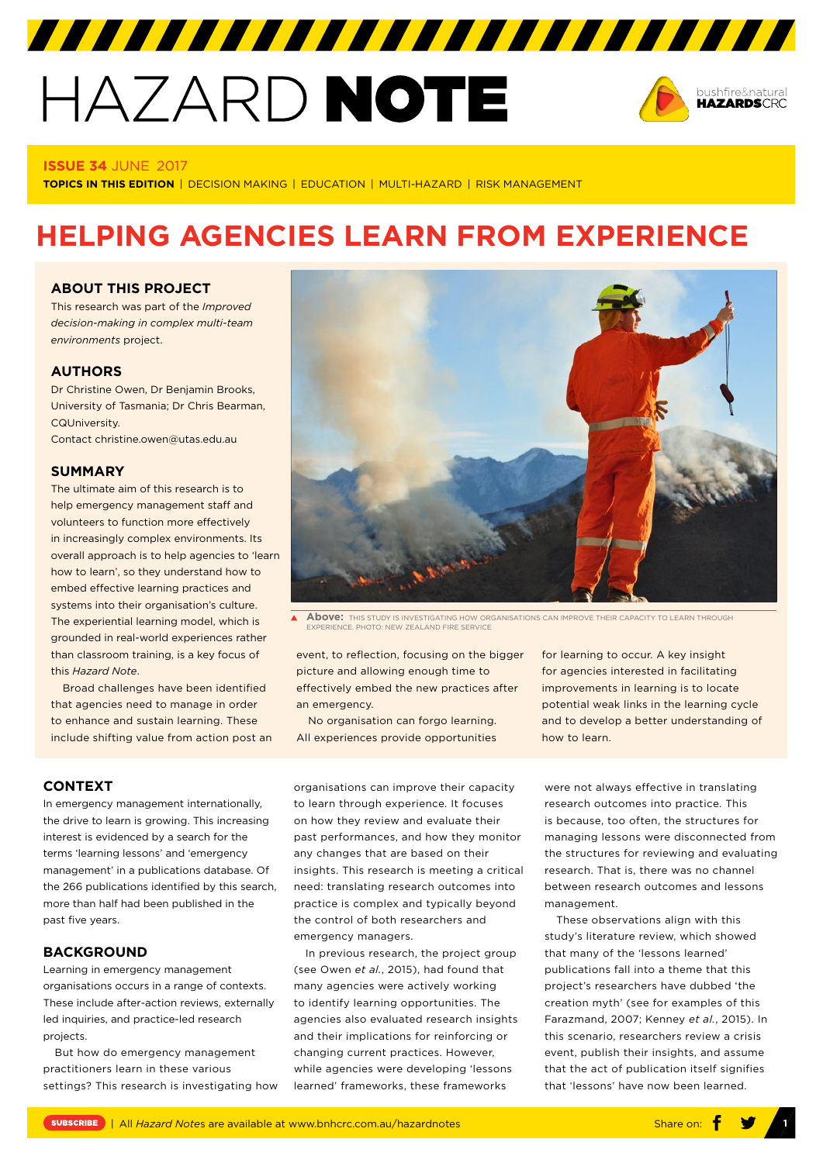# HAZARD NOTE



#### **ISSUE 34** JUNE 2017

**TOPICS IN THIS EDITION** | DECISION MAKING | EDUCATION | MULTI-HAZARD | RISK MANAGEMENT

# **HELPING AGENCIES LEARN FROM EXPERIENCE**

## **ABOUT THIS PROJECT**

This research was part of the *[Improved](http://www.bnhcrc.com.au/research/hazard-resilience/242)  [decision-making in complex multi-team](http://www.bnhcrc.com.au/research/hazard-resilience/242)  [environments](http://www.bnhcrc.com.au/research/hazard-resilience/242)* project.

# **AUTHORS**

Dr Christine Owen, Dr Benjamin Brooks, University of Tasmania; Dr Chris Bearman, CQUniversity. Contact christine.owen@utas.edu.au

# **SUMMARY**

The ultimate aim of this research is to help emergency management staff and volunteers to function more effectively in increasingly complex environments. Its overall approach is to help agencies to 'learn how to learn', so they understand how to embed effective learning practices and systems into their organisation's culture. The experiential learning model, which is grounded in real-world experiences rather than classroom training, is a key focus of this *Hazard Note*.

Broad challenges have been identified that agencies need to manage in order to enhance and sustain learning. These include shifting value from action post an



**Above:** THIS STUDY IS INVESTIGATING HOW ORGANISATIONS CAN IMPROVE THEIR CAPACITY TO LEARN THROUGH  $\overline{\mathbf{A}}$ **EXPERIENCE. PHOTO: NEW ZEALAND FIRE SERVICE** 

event, to reflection, focusing on the bigger picture and allowing enough time to effectively embed the new practices after an emergency.

No organisation can forgo learning. All experiences provide opportunities

organisations can improve their capacity to learn through experience. It focuses on how they review and evaluate their past performances, and how they monitor any changes that are based on their insights. This research is meeting a critical need: translating research outcomes into practice is complex and typically beyond the control of both researchers and emergency managers.

In previous research, the project group (see Owen *et al.*, 2015), had found that many agencies were actively working to identify learning opportunities. The agencies also evaluated research insights and their implications for reinforcing or changing current practices. However, while agencies were developing 'lessons learned' frameworks, these frameworks

for learning to occur. A key insight for agencies interested in facilitating improvements in learning is to locate potential weak links in the learning cycle and to develop a better understanding of how to learn.

were not always effective in translating research outcomes into practice. This is because, too often, the structures for managing lessons were disconnected from the structures for reviewing and evaluating research. That is, there was no channel between research outcomes and lessons management.

These observations align with this study's literature review, which showed that many of the 'lessons learned' publications fall into a theme that this project's researchers have dubbed 'the creation myth' (see for examples of this Farazmand, 2007; Kenney *et al.*, 2015). In this scenario, researchers review a crisis event, publish their insights, and assume that the act of publication itself signifies that 'lessons' have now been learned.

# **CONTEXT**

In emergency management internationally, the drive to learn is growing. This increasing interest is evidenced by a search for the terms 'learning lessons' and 'emergency management' in a publications database. Of the 266 publications identified by this search, more than half had been published in the past five years.

#### **BACKGROUND**

Learning in emergency management organisations occurs in a range of contexts. These include after-action reviews, externally led inquiries, and practice-led research projects.

But how do emergency management practitioners learn in these various settings? This research is investigating how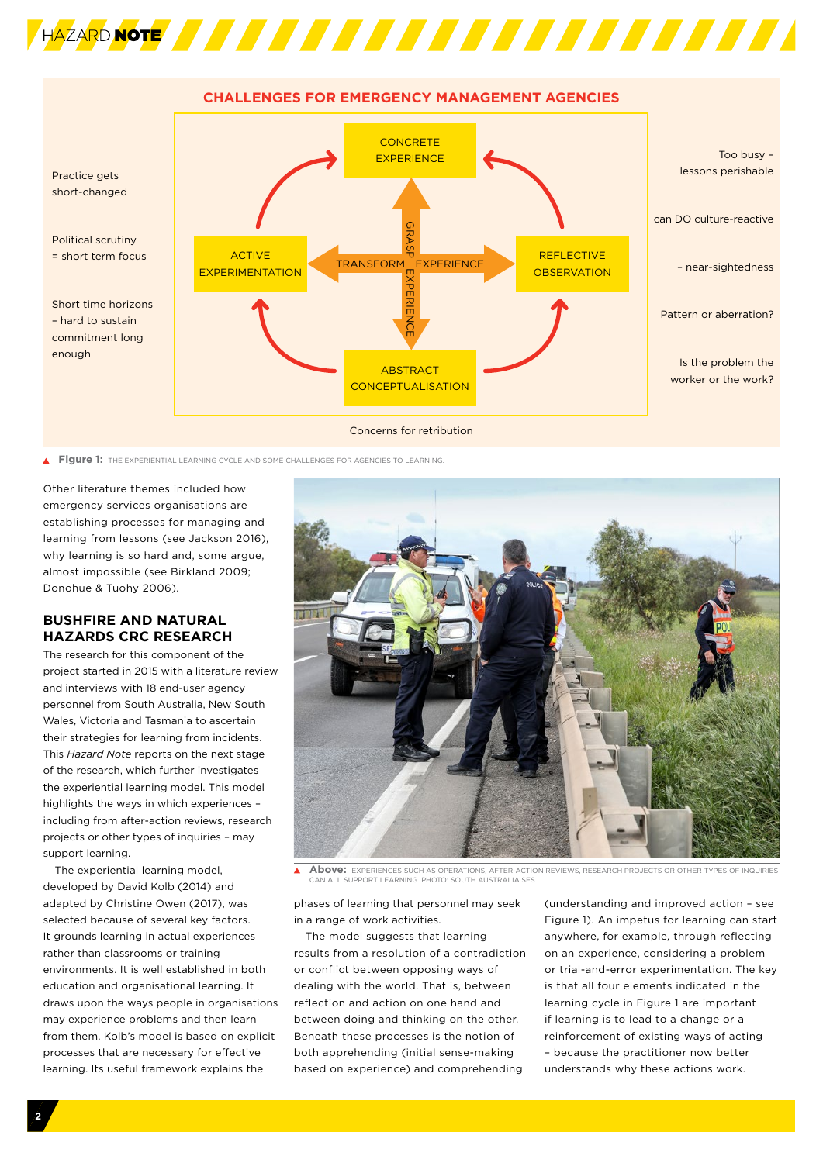



**Figure 1:** The experiential learning cycle and some challenges for agencies to learning

Other literature themes included how emergency services organisations are establishing processes for managing and learning from lessons (see Jackson 2016), why learning is so hard and, some argue, almost impossible (see Birkland 2009; Donohue & Tuohy 2006).

# **BUSHFIRE AND NATURAL HAZARDS CRC RESEARCH**

The research for this component of the project started in 2015 with a literature review and interviews with 18 end-user agency personnel from South Australia, New South Wales, Victoria and Tasmania to ascertain their strategies for learning from incidents. This *Hazard Note* reports on the next stage of the research, which further investigates the experiential learning model. This model highlights the ways in which experiences – including from after-action reviews, research projects or other types of inquiries – may support learning.

The experiential learning model, developed by David Kolb (2014) and adapted by Christine Owen (2017), was selected because of several key factors. It grounds learning in actual experiences rather than classrooms or training environments. It is well established in both education and organisational learning. It draws upon the ways people in organisations may experience problems and then learn from them. Kolb's model is based on explicit processes that are necessary for effective learning. Its useful framework explains the



**Above:** EXPERIENCES SUCH AS OPERATIONS, AFTER-ACTION REVIEWS, RESEARCH PROJECTS OR OTHER TYPES OF INQUIRIES CAN ALL SUPPORT LEARNING. PHOTO: SOUTH AUSTRALIA SES

phases of learning that personnel may seek in a range of work activities.

The model suggests that learning results from a resolution of a contradiction or conflict between opposing ways of dealing with the world. That is, between reflection and action on one hand and between doing and thinking on the other. Beneath these processes is the notion of both apprehending (initial sense-making based on experience) and comprehending

(understanding and improved action – see Figure 1). An impetus for learning can start anywhere, for example, through reflecting on an experience, considering a problem or trial-and-error experimentation. The key is that all four elements indicated in the learning cycle in Figure 1 are important if learning is to lead to a change or a reinforcement of existing ways of acting – because the practitioner now better understands why these actions work.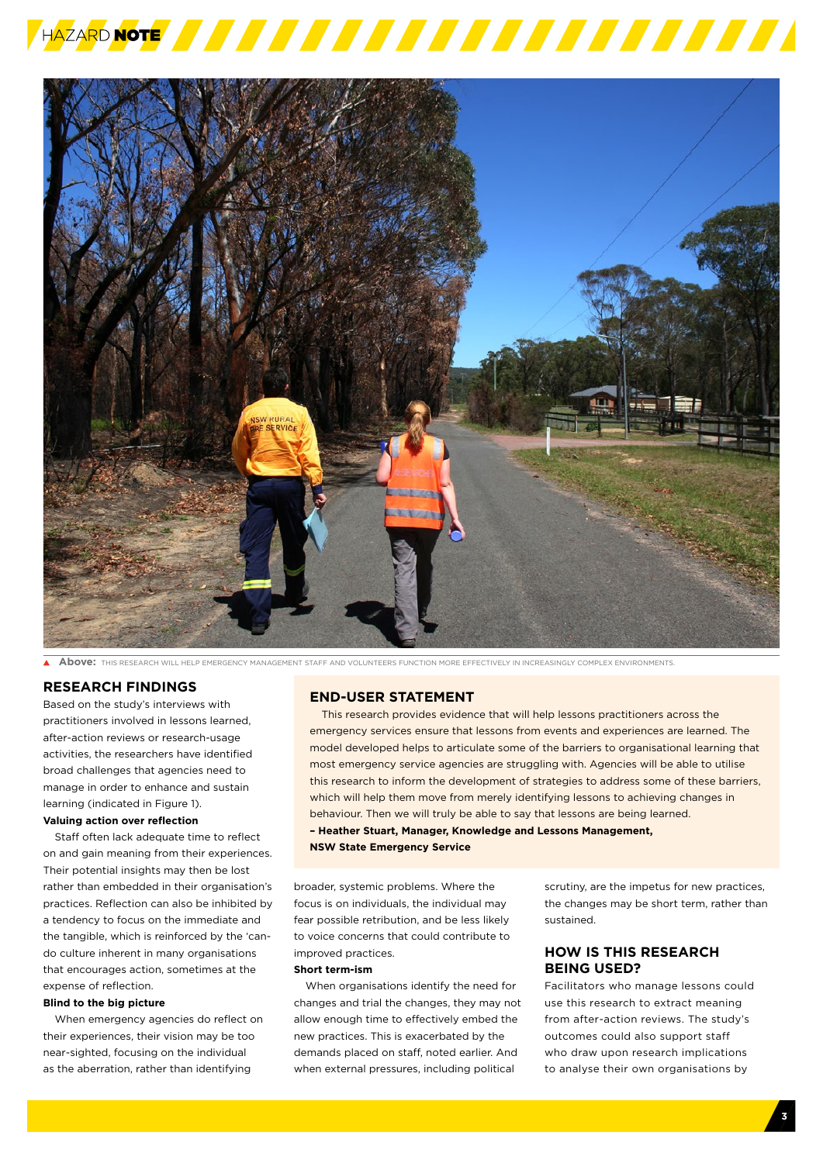



**Above:** THIS RESEARCH WILL HELP EMERGENCY MANAGEMENT STAFF AND VOLUNTEERS FUNCTION MORE EFFECTIVELY IN INCREASINGLY COMPLEX ENVIRONMENTS.

# **RESEARCH FINDINGS**

Based on the study's interviews with practitioners involved in lessons learned, after-action reviews or research-usage activities, the researchers have identified broad challenges that agencies need to manage in order to enhance and sustain learning (indicated in Figure 1).

#### **Valuing action over reflection**

Staff often lack adequate time to reflect on and gain meaning from their experiences. Their potential insights may then be lost rather than embedded in their organisation's practices. Reflection can also be inhibited by a tendency to focus on the immediate and the tangible, which is reinforced by the 'cando culture inherent in many organisations that encourages action, sometimes at the expense of reflection.

#### **Blind to the big picture**

When emergency agencies do reflect on their experiences, their vision may be too near-sighted, focusing on the individual as the aberration, rather than identifying

# **END-USER STATEMENT**

This research provides evidence that will help lessons practitioners across the emergency services ensure that lessons from events and experiences are learned. The model developed helps to articulate some of the barriers to organisational learning that most emergency service agencies are struggling with. Agencies will be able to utilise this research to inform the development of strategies to address some of these barriers, which will help them move from merely identifying lessons to achieving changes in behaviour. Then we will truly be able to say that lessons are being learned.

**– Heather Stuart, Manager, Knowledge and Lessons Management,** 

**NSW State Emergency Service**

broader, systemic problems. Where the focus is on individuals, the individual may fear possible retribution, and be less likely to voice concerns that could contribute to improved practices.

#### **Short term-ism**

When organisations identify the need for changes and trial the changes, they may not allow enough time to effectively embed the new practices. This is exacerbated by the demands placed on staff, noted earlier. And when external pressures, including political

scrutiny, are the impetus for new practices, the changes may be short term, rather than sustained.

# **HOW IS THIS RESEARCH BEING USED?**

Facilitators who manage lessons could use this research to extract meaning from after-action reviews. The study's outcomes could also support staff who draw upon research implications to analyse their own organisations by